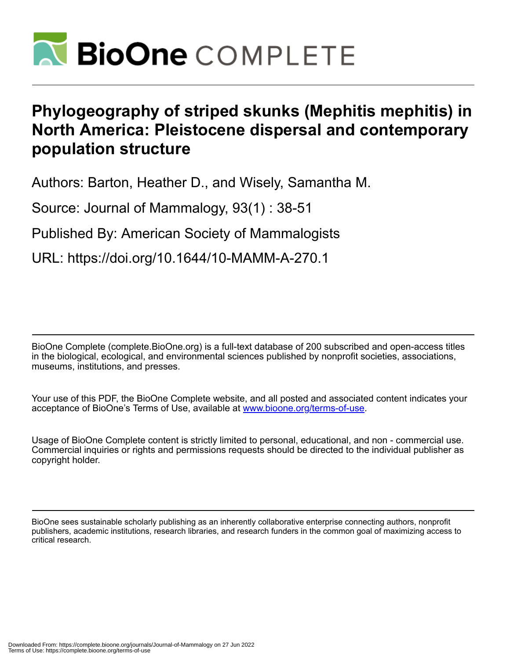

# **Phylogeography of striped skunks (Mephitis mephitis) in North America: Pleistocene dispersal and contemporary population structure**

Authors: Barton, Heather D., and Wisely, Samantha M.

Source: Journal of Mammalogy, 93(1) : 38-51

Published By: American Society of Mammalogists

URL: https://doi.org/10.1644/10-MAMM-A-270.1

BioOne Complete (complete.BioOne.org) is a full-text database of 200 subscribed and open-access titles in the biological, ecological, and environmental sciences published by nonprofit societies, associations, museums, institutions, and presses.

Your use of this PDF, the BioOne Complete website, and all posted and associated content indicates your acceptance of BioOne's Terms of Use, available at www.bioone.org/terms-of-use.

Usage of BioOne Complete content is strictly limited to personal, educational, and non - commercial use. Commercial inquiries or rights and permissions requests should be directed to the individual publisher as copyright holder.

BioOne sees sustainable scholarly publishing as an inherently collaborative enterprise connecting authors, nonprofit publishers, academic institutions, research libraries, and research funders in the common goal of maximizing access to critical research.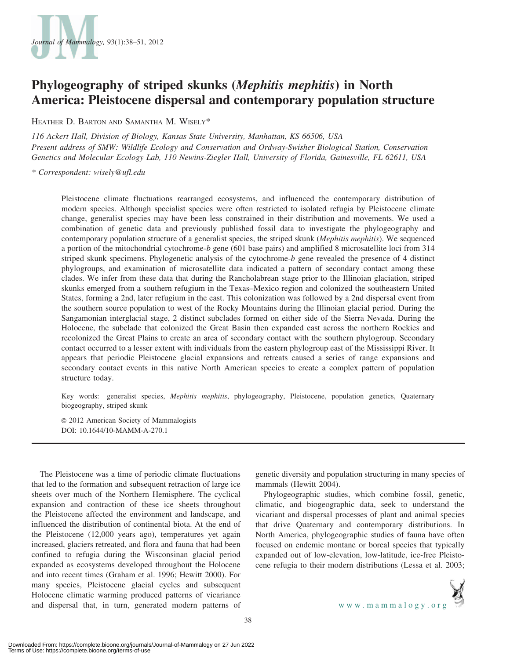

## Phylogeography of striped skunks (Mephitis mephitis) in North America: Pleistocene dispersal and contemporary population structure

HEATHER D. BARTON AND SAMANTHA M. WISELY\*

116 Ackert Hall, Division of Biology, Kansas State University, Manhattan, KS 66506, USA Present address of SMW: Wildlife Ecology and Conservation and Ordway-Swisher Biological Station, Conservation Genetics and Molecular Ecology Lab, 110 Newins-Ziegler Hall, University of Florida, Gainesville, FL 62611, USA

\* Correspondent: wisely@ufl.edu

Pleistocene climate fluctuations rearranged ecosystems, and influenced the contemporary distribution of modern species. Although specialist species were often restricted to isolated refugia by Pleistocene climate change, generalist species may have been less constrained in their distribution and movements. We used a combination of genetic data and previously published fossil data to investigate the phylogeography and contemporary population structure of a generalist species, the striped skunk (Mephitis mephitis). We sequenced a portion of the mitochondrial cytochrome-b gene (601 base pairs) and amplified 8 microsatellite loci from 314 striped skunk specimens. Phylogenetic analysis of the cytochrome-b gene revealed the presence of 4 distinct phylogroups, and examination of microsatellite data indicated a pattern of secondary contact among these clades. We infer from these data that during the Rancholabrean stage prior to the Illinoian glaciation, striped skunks emerged from a southern refugium in the Texas–Mexico region and colonized the southeastern United States, forming a 2nd, later refugium in the east. This colonization was followed by a 2nd dispersal event from the southern source population to west of the Rocky Mountains during the Illinoian glacial period. During the Sangamonian interglacial stage, 2 distinct subclades formed on either side of the Sierra Nevada. During the Holocene, the subclade that colonized the Great Basin then expanded east across the northern Rockies and recolonized the Great Plains to create an area of secondary contact with the southern phylogroup. Secondary contact occurred to a lesser extent with individuals from the eastern phylogroup east of the Mississippi River. It appears that periodic Pleistocene glacial expansions and retreats caused a series of range expansions and secondary contact events in this native North American species to create a complex pattern of population structure today.

Key words: generalist species, Mephitis mephitis, phylogeography, Pleistocene, population genetics, Quaternary biogeography, striped skunk

E 2012 American Society of Mammalogists DOI: 10.1644/10-MAMM-A-270.1

The Pleistocene was a time of periodic climate fluctuations that led to the formation and subsequent retraction of large ice sheets over much of the Northern Hemisphere. The cyclical expansion and contraction of these ice sheets throughout the Pleistocene affected the environment and landscape, and influenced the distribution of continental biota. At the end of the Pleistocene (12,000 years ago), temperatures yet again increased, glaciers retreated, and flora and fauna that had been confined to refugia during the Wisconsinan glacial period expanded as ecosystems developed throughout the Holocene and into recent times (Graham et al. 1996; Hewitt 2000). For many species, Pleistocene glacial cycles and subsequent Holocene climatic warming produced patterns of vicariance and dispersal that, in turn, generated modern patterns of genetic diversity and population structuring in many species of mammals (Hewitt 2004).

Phylogeographic studies, which combine fossil, genetic, climatic, and biogeographic data, seek to understand the vicariant and dispersal processes of plant and animal species that drive Quaternary and contemporary distributions. In North America, phylogeographic studies of fauna have often focused on endemic montane or boreal species that typically expanded out of low-elevation, low-latitude, ice-free Pleistocene refugia to their modern distributions (Lessa et al. 2003;

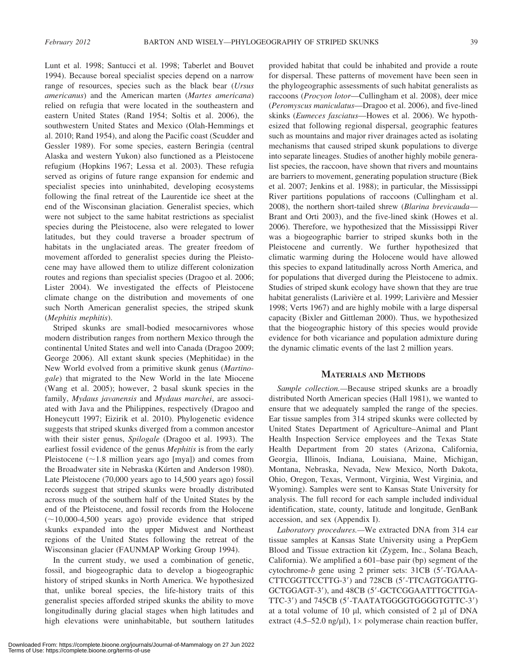Lunt et al. 1998; Santucci et al. 1998; Taberlet and Bouvet 1994). Because boreal specialist species depend on a narrow range of resources, species such as the black bear (Ursus americanus) and the American marten (Martes americana) relied on refugia that were located in the southeastern and eastern United States (Rand 1954; Soltis et al. 2006), the southwestern United States and Mexico (Olah-Hemmings et al. 2010; Rand 1954), and along the Pacific coast (Scudder and Gessler 1989). For some species, eastern Beringia (central Alaska and western Yukon) also functioned as a Pleistocene refugium (Hopkins 1967; Lessa et al. 2003). These refugia served as origins of future range expansion for endemic and specialist species into uninhabited, developing ecosystems following the final retreat of the Laurentide ice sheet at the end of the Wisconsinan glaciation. Generalist species, which were not subject to the same habitat restrictions as specialist species during the Pleistocene, also were relegated to lower latitudes, but they could traverse a broader spectrum of habitats in the unglaciated areas. The greater freedom of movement afforded to generalist species during the Pleistocene may have allowed them to utilize different colonization routes and regions than specialist species (Dragoo et al. 2006; Lister 2004). We investigated the effects of Pleistocene climate change on the distribution and movements of one such North American generalist species, the striped skunk (Mephitis mephitis).

Striped skunks are small-bodied mesocarnivores whose modern distribution ranges from northern Mexico through the continental United States and well into Canada (Dragoo 2009; George 2006). All extant skunk species (Mephitidae) in the New World evolved from a primitive skunk genus (Martinogale) that migrated to the New World in the late Miocene (Wang et al. 2005); however, 2 basal skunk species in the family, Mydaus javanensis and Mydaus marchei, are associated with Java and the Philippines, respectively (Dragoo and Honeycutt 1997; Eizirik et al. 2010). Phylogenetic evidence suggests that striped skunks diverged from a common ancestor with their sister genus, Spilogale (Dragoo et al. 1993). The earliest fossil evidence of the genus Mephitis is from the early Pleistocene ( $\sim$ 1.8 million years ago [mya]) and comes from the Broadwater site in Nebraska (Kúrten and Anderson 1980). Late Pleistocene (70,000 years ago to 14,500 years ago) fossil records suggest that striped skunks were broadly distributed across much of the southern half of the United States by the end of the Pleistocene, and fossil records from the Holocene  $(-10,000-4,500$  years ago) provide evidence that striped skunks expanded into the upper Midwest and Northeast regions of the United States following the retreat of the Wisconsinan glacier (FAUNMAP Working Group 1994).

In the current study, we used a combination of genetic, fossil, and biogeographic data to develop a biogeographic history of striped skunks in North America. We hypothesized that, unlike boreal species, the life-history traits of this generalist species afforded striped skunks the ability to move longitudinally during glacial stages when high latitudes and high elevations were uninhabitable, but southern latitudes provided habitat that could be inhabited and provide a route for dispersal. These patterns of movement have been seen in the phylogeographic assessments of such habitat generalists as raccoons (Procyon lotor—Cullingham et al. 2008), deer mice (Peromyscus maniculatus—Dragoo et al. 2006), and five-lined skinks (Eumeces fasciatus—Howes et al. 2006). We hypothesized that following regional dispersal, geographic features such as mountains and major river drainages acted as isolating mechanisms that caused striped skunk populations to diverge into separate lineages. Studies of another highly mobile generalist species, the raccoon, have shown that rivers and mountains are barriers to movement, generating population structure (Biek et al. 2007; Jenkins et al. 1988); in particular, the Mississippi River partitions populations of raccoons (Cullingham et al. 2008), the northern short-tailed shrew (Blarina brevicauda— Brant and Orti 2003), and the five-lined skink (Howes et al. 2006). Therefore, we hypothesized that the Mississippi River was a biogeographic barrier to striped skunks both in the Pleistocene and currently. We further hypothesized that climatic warming during the Holocene would have allowed this species to expand latitudinally across North America, and for populations that diverged during the Pleistocene to admix. Studies of striped skunk ecology have shown that they are true habitat generalists (Larivière et al. 1999; Larivière and Messier 1998; Verts 1967) and are highly mobile with a large dispersal capacity (Bixler and Gittleman 2000). Thus, we hypothesized that the biogeographic history of this species would provide evidence for both vicariance and population admixture during the dynamic climatic events of the last 2 million years.

#### MATERIALS AND METHODS

Sample collection.—Because striped skunks are a broadly distributed North American species (Hall 1981), we wanted to ensure that we adequately sampled the range of the species. Ear tissue samples from 314 striped skunks were collected by United States Department of Agriculture–Animal and Plant Health Inspection Service employees and the Texas State Health Department from 20 states (Arizona, California, Georgia, Illinois, Indiana, Louisiana, Maine, Michigan, Montana, Nebraska, Nevada, New Mexico, North Dakota, Ohio, Oregon, Texas, Vermont, Virginia, West Virginia, and Wyoming). Samples were sent to Kansas State University for analysis. The full record for each sample included individual identification, state, county, latitude and longitude, GenBank accession, and sex (Appendix I).

Laboratory procedures.—We extracted DNA from 314 ear tissue samples at Kansas State University using a PrepGem Blood and Tissue extraction kit (Zygem, Inc., Solana Beach, California). We amplified a 601–base pair (bp) segment of the cytochrome- $b$  gene using 2 primer sets: 31CB (5'-TGAAA-CTTCGGTTCCTTG-3') and 728CB (5'-TTCAGTGGATTG-GCTGGAGT-3'), and 48CB (5'-GCTCGGAATTTGCTTGA-TTC-3') and 745CB (5'-TAATATGGGGTGGGGTGTTC-3') at a total volume of 10  $\mu$ l, which consisted of 2  $\mu$ l of DNA extract (4.5–52.0 ng/ $\mu$ l), 1× polymerase chain reaction buffer,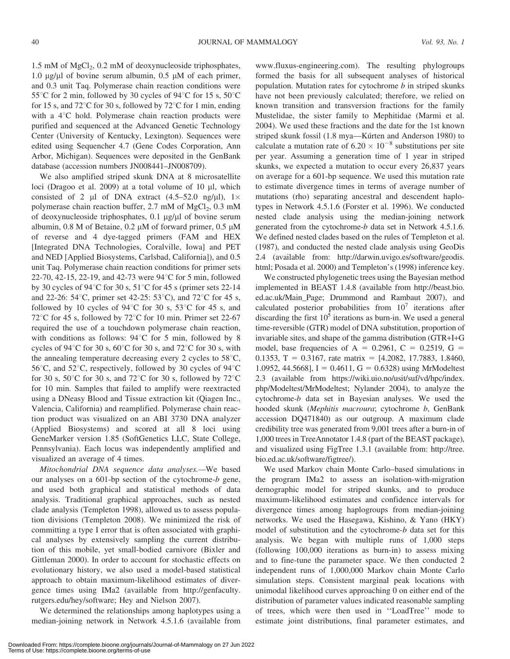$1.5 \text{ mM of MgCl}_2$ , 0.2 mM of deoxynucleoside triphosphates, 1.0  $\mu$ g/ $\mu$ l of bovine serum albumin, 0.5  $\mu$ M of each primer, and 0.3 unit Taq. Polymerase chain reaction conditions were 55<sup>°</sup>C for 2 min, followed by 30 cycles of 94<sup>°</sup>C for 15 s, 50<sup>°</sup>C for 15 s, and 72 $^{\circ}$ C for 30 s, followed by 72 $^{\circ}$ C for 1 min, ending with a  $4^{\circ}$ C hold. Polymerase chain reaction products were purified and sequenced at the Advanced Genetic Technology Center (University of Kentucky, Lexington). Sequences were edited using Sequencher 4.7 (Gene Codes Corporation, Ann Arbor, Michigan). Sequences were deposited in the GenBank database (accession numbers JN008441–JN008709).

We also amplified striped skunk DNA at 8 microsatellite loci (Dragoo et al. 2009) at a total volume of 10  $\mu$ l, which consisted of 2  $\mu$ l of DNA extract (4.5–52.0 ng/ $\mu$ l), 1× polymerase chain reaction buffer,  $2.7 \text{ mM of MgCl}_2$ ,  $0.3 \text{ mM}$ of deoxynucleoside triphosphates,  $0.1 \mu g/\mu l$  of bovine serum albumin, 0.8 M of Betaine, 0.2  $\mu$ M of forward primer, 0.5  $\mu$ M of reverse and 4 dye-tagged primers (FAM and HEX [Integrated DNA Technologies, Coralville, Iowa] and PET and NED [Applied Biosystems, Carlsbad, California]), and 0.5 unit Taq. Polymerase chain reaction conditions for primer sets 22-70, 42-15, 22-19, and 42-73 were  $94^{\circ}$ C for 5 min, followed by 30 cycles of  $94^{\circ}$ C for 30 s,  $51^{\circ}$ C for 45 s (primer sets 22-14 and 22-26:  $54^{\circ}$ C, primer set 42-25:  $53^{\circ}$ C), and  $72^{\circ}$ C for 45 s, followed by 10 cycles of 94 $\degree$ C for 30 s, 53 $\degree$ C for 45 s, and 72<sup>°</sup>C for 45 s, followed by 72<sup>°</sup>C for 10 min. Primer set 22-67 required the use of a touchdown polymerase chain reaction, with conditions as follows:  $94^{\circ}$ C for 5 min, followed by 8 cycles of 94 $\degree$ C for 30 s, 60 $\degree$ C for 30 s, and 72 $\degree$ C for 30 s, with the annealing temperature decreasing every 2 cycles to  $58^{\circ}$ C, 56<sup>°</sup>C, and 52<sup>°</sup>C, respectively, followed by 30 cycles of  $94$ <sup>°</sup>C for 30 s,  $50^{\circ}$ C for 30 s, and  $72^{\circ}$ C for 30 s, followed by  $72^{\circ}$ C for 10 min. Samples that failed to amplify were reextracted using a DNeasy Blood and Tissue extraction kit (Qiagen Inc., Valencia, California) and reamplified. Polymerase chain reaction product was visualized on an ABI 3730 DNA analyzer (Applied Biosystems) and scored at all 8 loci using GeneMarker version 1.85 (SoftGenetics LLC, State College, Pennsylvania). Each locus was independently amplified and visualized an average of 4 times.

Mitochondrial DNA sequence data analyses.—We based our analyses on a 601-bp section of the cytochrome-b gene, and used both graphical and statistical methods of data analysis. Traditional graphical approaches, such as nested clade analysis (Templeton 1998), allowed us to assess population divisions (Templeton 2008). We minimized the risk of committing a type I error that is often associated with graphical analyses by extensively sampling the current distribution of this mobile, yet small-bodied carnivore (Bixler and Gittleman 2000). In order to account for stochastic effects on evolutionary history, we also used a model-based statistical approach to obtain maximum-likelihood estimates of divergence times using IMa2 (available from http://genfaculty. rutgers.edu/hey/software; Hey and Nielson 2007).

We determined the relationships among haplotypes using a median-joining network in Network 4.5.1.6 (available from www.fluxus-engineering.com). The resulting phylogroups formed the basis for all subsequent analyses of historical population. Mutation rates for cytochrome  $b$  in striped skunks have not been previously calculated; therefore, we relied on known transition and transversion fractions for the family Mustelidae, the sister family to Mephitidae (Marmi et al. 2004). We used these fractions and the date for the 1st known striped skunk fossil (1.8 mya-Kúrten and Anderson 1980) to calculate a mutation rate of  $6.20 \times 10^{-8}$  substitutions per site per year. Assuming a generation time of 1 year in striped skunks, we expected a mutation to occur every 26,837 years on average for a 601-bp sequence. We used this mutation rate to estimate divergence times in terms of average number of mutations (rho) separating ancestral and descendent haplotypes in Network 4.5.1.6 (Forster et al. 1996). We conducted nested clade analysis using the median-joining network generated from the cytochrome-b data set in Network 4.5.1.6. We defined nested clades based on the rules of Templeton et al. (1987), and conducted the nested clade analysis using GeoDis 2.4 (available from: http://darwin.uvigo.es/software/geodis. html; Posada et al. 2000) and Templeton's (1998) inference key.

We constructed phylogenetic trees using the Bayesian method implemented in BEAST 1.4.8 (available from http://beast.bio. ed.ac.uk/Main\_Page; Drummond and Rambaut 2007), and calculated posterior probabilities from  $10^7$  iterations after discarding the first  $10^5$  iterations as burn-in. We used a general time-reversible (GTR) model of DNA substitution, proportion of invariable sites, and shape of the gamma distribution (GTR+I+G model, base frequencies of A = 0.2961, C = 0.2519, G = 0.1353, T = 0.3167, rate matrix =  $[4.2082, 17.7883, 1.8460,$ 1.0952, 44.5668],  $I = 0.4611$ ,  $G = 0.6328$ ) using MrModeltest 2.3 (available from https://wiki.uio.no/usit/suf/vd/hpc/index. php/Modeltest/MrModeltest; Nylander 2004), to analyze the cytochrome-b data set in Bayesian analyses. We used the hooded skunk (Mephitis macroura; cytochrome b, GenBank accession DQ471840) as our outgroup. A maximum clade credibility tree was generated from 9,001 trees after a burn-in of 1,000 trees in TreeAnnotator 1.4.8 (part of the BEAST package), and visualized using FigTree 1.3.1 (available from: http://tree. bio.ed.ac.uk/software/figtree/).

We used Markov chain Monte Carlo–based simulations in the program IMa2 to assess an isolation-with-migration demographic model for striped skunks, and to produce maximum-likelihood estimates and confidence intervals for divergence times among haplogroups from median-joining networks. We used the Hasegawa, Kishino, & Yano (HKY) model of substitution and the cytochrome-b data set for this analysis. We began with multiple runs of 1,000 steps (following 100,000 iterations as burn-in) to assess mixing and to fine-tune the parameter space. We then conducted 2 independent runs of 1,000,000 Markov chain Monte Carlo simulation steps. Consistent marginal peak locations with unimodal likelihood curves approaching 0 on either end of the distribution of parameter values indicated reasonable sampling of trees, which were then used in ''LoadTree'' mode to estimate joint distributions, final parameter estimates, and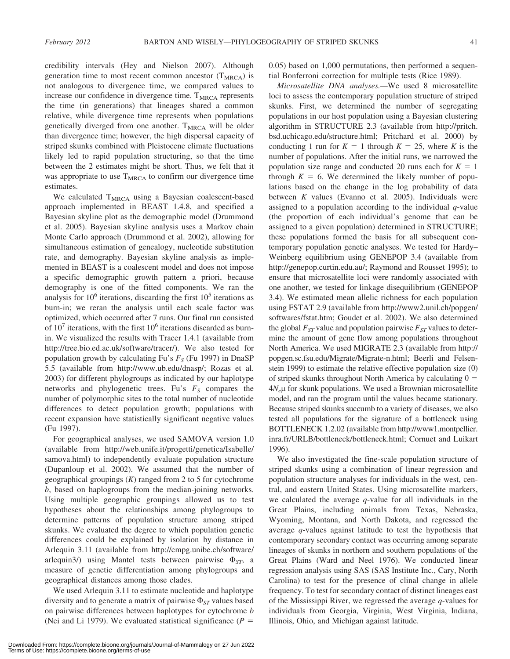credibility intervals (Hey and Nielson 2007). Although generation time to most recent common ancestor  $(T_{MRCA})$  is not analogous to divergence time, we compared values to increase our confidence in divergence time.  $T_{MRCA}$  represents the time (in generations) that lineages shared a common relative, while divergence time represents when populations genetically diverged from one another.  $T_{MRCA}$  will be older than divergence time; however, the high dispersal capacity of striped skunks combined with Pleistocene climate fluctuations likely led to rapid population structuring, so that the time between the 2 estimates might be short. Thus, we felt that it was appropriate to use  $T_{MRCA}$  to confirm our divergence time estimates.

We calculated  $T_{MRCA}$  using a Bayesian coalescent-based approach implemented in BEAST 1.4.8, and specified a Bayesian skyline plot as the demographic model (Drummond et al. 2005). Bayesian skyline analysis uses a Markov chain Monte Carlo approach (Drummond et al. 2002), allowing for simultaneous estimation of genealogy, nucleotide substitution rate, and demography. Bayesian skyline analysis as implemented in BEAST is a coalescent model and does not impose a specific demographic growth pattern a priori, because demography is one of the fitted components. We ran the analysis for  $10^6$  iterations, discarding the first  $10^5$  iterations as burn-in; we reran the analysis until each scale factor was optimized, which occurred after 7 runs. Our final run consisted of  $10<sup>7</sup>$  iterations, with the first  $10<sup>6</sup>$  iterations discarded as burnin. We visualized the results with Tracer 1.4.1 (available from http://tree.bio.ed.ac.uk/software/tracer/). We also tested for population growth by calculating Fu's  $F<sub>S</sub>$  (Fu 1997) in DnaSP 5.5 (available from http://www.ub.edu/dnasp/; Rozas et al. 2003) for different phylogroups as indicated by our haplotype networks and phylogenetic trees. Fu's  $F<sub>S</sub>$  compares the number of polymorphic sites to the total number of nucleotide differences to detect population growth; populations with recent expansion have statistically significant negative values (Fu 1997).

For geographical analyses, we used SAMOVA version 1.0 (available from http://web.unife.it/progetti/genetica/Isabelle/ samova.html) to independently evaluate population structure (Dupanloup et al. 2002). We assumed that the number of geographical groupings  $(K)$  ranged from 2 to 5 for cytochrome b, based on haplogroups from the median-joining networks. Using multiple geographic groupings allowed us to test hypotheses about the relationships among phylogroups to determine patterns of population structure among striped skunks. We evaluated the degree to which population genetic differences could be explained by isolation by distance in Arlequin 3.11 (available from http://cmpg.unibe.ch/software/ arlequin3/) using Mantel tests between pairwise  $\Phi_{ST}$ , a measure of genetic differentiation among phylogroups and geographical distances among those clades.

We used Arlequin 3.11 to estimate nucleotide and haplotype diversity and to generate a matrix of pairwise  $\Phi_{ST}$  values based on pairwise differences between haplotypes for cytochrome b (Nei and Li 1979). We evaluated statistical significance ( $P =$ 

0.05) based on 1,000 permutations, then performed a sequential Bonferroni correction for multiple tests (Rice 1989).

Microsatellite DNA analyses.—We used 8 microsatellite loci to assess the contemporary population structure of striped skunks. First, we determined the number of segregating populations in our host population using a Bayesian clustering algorithm in STRUCTURE 2.3 (available from http://pritch. bsd.uchicago.edu/structure.html; Pritchard et al. 2000) by conducting 1 run for  $K = 1$  through  $K = 25$ , where K is the number of populations. After the initial runs, we narrowed the population size range and conducted 20 runs each for  $K = 1$ through  $K = 6$ . We determined the likely number of populations based on the change in the log probability of data between  $K$  values (Evanno et al. 2005). Individuals were assigned to a population according to the individual  $q$ -value (the proportion of each individual's genome that can be assigned to a given population) determined in STRUCTURE; these populations formed the basis for all subsequent contemporary population genetic analyses. We tested for Hardy– Weinberg equilibrium using GENEPOP 3.4 (available from http://genepop.curtin.edu.au/; Raymond and Rousset 1995); to ensure that microsatellite loci were randomly associated with one another, we tested for linkage disequilibrium (GENEPOP 3.4). We estimated mean allelic richness for each population using FSTAT 2.9 (available from http://www2.unil.ch/popgen/ softwares/fstat.htm; Goudet et al. 2002). We also determined the global  $F_{ST}$  value and population pairwise  $F_{ST}$  values to determine the amount of gene flow among populations throughout North America. We used MIGRATE 2.3 (available from http:// popgen.sc.fsu.edu/Migrate/Migrate-n.html; Beerli and Felsenstein 1999) to estimate the relative effective population size  $(\theta)$ of striped skunks throughout North America by calculating  $\theta =$  $4N<sub>e</sub>\mu$  for skunk populations. We used a Brownian microsatellite model, and ran the program until the values became stationary. Because striped skunks succumb to a variety of diseases, we also tested all populations for the signature of a bottleneck using BOTTLENECK 1.2.02 (available from http://www1.montpellier. inra.fr/URLB/bottleneck/bottleneck.html; Cornuet and Luikart 1996).

We also investigated the fine-scale population structure of striped skunks using a combination of linear regression and population structure analyses for individuals in the west, central, and eastern United States. Using microsatellite markers, we calculated the average  $q$ -value for all individuals in the Great Plains, including animals from Texas, Nebraska, Wyoming, Montana, and North Dakota, and regressed the average q-values against latitude to test the hypothesis that contemporary secondary contact was occurring among separate lineages of skunks in northern and southern populations of the Great Plains (Ward and Neel 1976). We conducted linear regression analysis using SAS (SAS Institute Inc., Cary, North Carolina) to test for the presence of clinal change in allele frequency. To test for secondary contact of distinct lineages east of the Mississippi River, we regressed the average  $q$ -values for individuals from Georgia, Virginia, West Virginia, Indiana, Illinois, Ohio, and Michigan against latitude.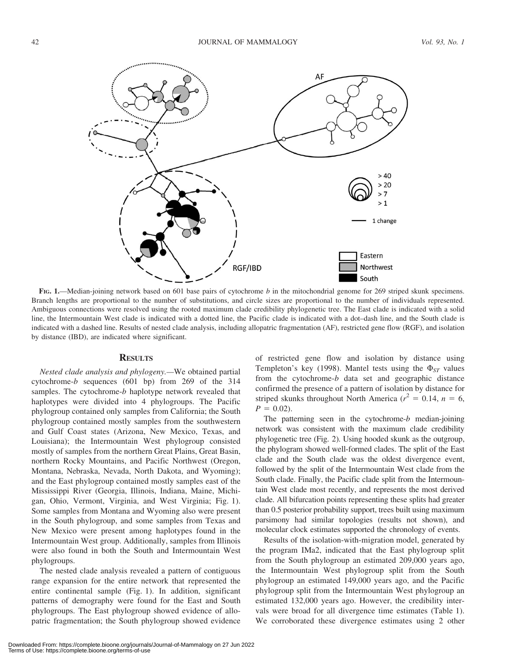

FIG. 1.—Median-joining network based on 601 base pairs of cytochrome b in the mitochondrial genome for 269 striped skunk specimens. Branch lengths are proportional to the number of substitutions, and circle sizes are proportional to the number of individuals represented. Ambiguous connections were resolved using the rooted maximum clade credibility phylogenetic tree. The East clade is indicated with a solid line, the Intermountain West clade is indicated with a dotted line, the Pacific clade is indicated with a dot–dash line, and the South clade is indicated with a dashed line. Results of nested clade analysis, including allopatric fragmentation (AF), restricted gene flow (RGF), and isolation by distance (IBD), are indicated where significant.

### **RESULTS**

Nested clade analysis and phylogeny.—We obtained partial cytochrome-b sequences (601 bp) from 269 of the 314 samples. The cytochrome-b haplotype network revealed that haplotypes were divided into 4 phylogroups. The Pacific phylogroup contained only samples from California; the South phylogroup contained mostly samples from the southwestern and Gulf Coast states (Arizona, New Mexico, Texas, and Louisiana); the Intermountain West phylogroup consisted mostly of samples from the northern Great Plains, Great Basin, northern Rocky Mountains, and Pacific Northwest (Oregon, Montana, Nebraska, Nevada, North Dakota, and Wyoming); and the East phylogroup contained mostly samples east of the Mississippi River (Georgia, Illinois, Indiana, Maine, Michigan, Ohio, Vermont, Virginia, and West Virginia; Fig. 1). Some samples from Montana and Wyoming also were present in the South phylogroup, and some samples from Texas and New Mexico were present among haplotypes found in the Intermountain West group. Additionally, samples from Illinois were also found in both the South and Intermountain West phylogroups.

The nested clade analysis revealed a pattern of contiguous range expansion for the entire network that represented the entire continental sample (Fig. 1). In addition, significant patterns of demography were found for the East and South phylogroups. The East phylogroup showed evidence of allopatric fragmentation; the South phylogroup showed evidence of restricted gene flow and isolation by distance using Templeton's key (1998). Mantel tests using the  $\Phi_{ST}$  values from the cytochrome-b data set and geographic distance confirmed the presence of a pattern of isolation by distance for striped skunks throughout North America ( $r^2 = 0.14$ ,  $n = 6$ ,  $P = 0.02$ ).

The patterning seen in the cytochrome- $b$  median-joining network was consistent with the maximum clade credibility phylogenetic tree (Fig. 2). Using hooded skunk as the outgroup, the phylogram showed well-formed clades. The split of the East clade and the South clade was the oldest divergence event, followed by the split of the Intermountain West clade from the South clade. Finally, the Pacific clade split from the Intermountain West clade most recently, and represents the most derived clade. All bifurcation points representing these splits had greater than 0.5 posterior probability support, trees built using maximum parsimony had similar topologies (results not shown), and molecular clock estimates supported the chronology of events.

Results of the isolation-with-migration model, generated by the program IMa2, indicated that the East phylogroup split from the South phylogroup an estimated 209,000 years ago, the Intermountain West phylogroup split from the South phylogroup an estimated 149,000 years ago, and the Pacific phylogroup split from the Intermountain West phylogroup an estimated 132,000 years ago. However, the credibility intervals were broad for all divergence time estimates (Table 1). We corroborated these divergence estimates using 2 other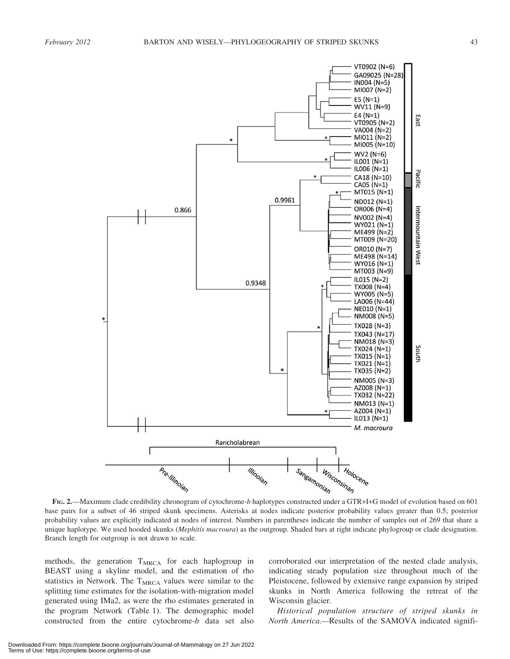

FIG. 2.—Maximum clade credibility chronogram of cytochrome-b haplotypes constructed under a GTR+I+G model of evolution based on 601 base pairs for a subset of 46 striped skunk specimens. Asterisks at nodes indicate posterior probability values greater than 0.5; posterior probability values are explicitly indicated at nodes of interest. Numbers in parentheses indicate the number of samples out of 269 that share a unique haplotype. We used hooded skunks (Mephitis macroura) as the outgroup. Shaded bars at right indicate phylogroup or clade designation. Branch length for outgroup is not drawn to scale.

methods, the generation T<sub>MRCA</sub> for each haplogroup in BEAST using a skyline model, and the estimation of rho statistics in Network. The  $T_{MRCA}$  values were similar to the splitting time estimates for the isolation-with-migration model generated using IMa2, as were the rho estimates generated in the program Network (Table 1). The demographic model constructed from the entire cytochrome-b data set also

corroborated our interpretation of the nested clade analysis, indicating steady population size throughout much of the Pleistocene, followed by extensive range expansion by striped skunks in North America following the retreat of the Wisconsin glacier.

Historical population structure of striped skunks in North America.—Results of the SAMOVA indicated signifi-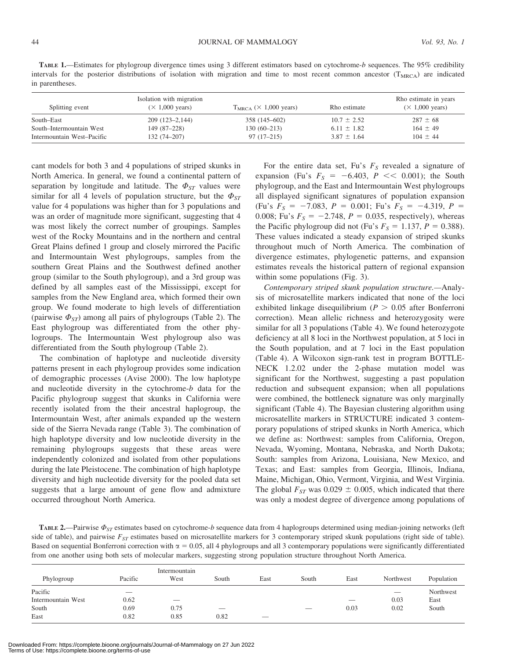TABLE 1.—Estimates for phylogroup divergence times using 3 different estimators based on cytochrome-b sequences. The 95% credibility intervals for the posterior distributions of isolation with migration and time to most recent common ancestor  $(T_{\text{MRCA}})$  are indicated in parentheses.

| Splitting event            | Isolation with migration<br>$(\times 1,000 \text{ years})$ | $T_{MRCA}$ ( $\times$ 1,000 years) | Rho estimate    | Rho estimate in years<br>$(\times 1,000 \text{ years})$ |
|----------------------------|------------------------------------------------------------|------------------------------------|-----------------|---------------------------------------------------------|
| South–East                 | $209(123-2,144)$                                           | 358 (145–602)                      | $10.7 \pm 2.52$ | $287 \pm 68$                                            |
| South–Intermountain West   | 149 (87–228)                                               | $130(60-213)$                      | $6.11 \pm 1.82$ | $164 \pm 49$                                            |
| Intermountain West-Pacific | $132(74 - 207)$                                            | $97(17-215)$                       | $3.87 \pm 1.64$ | $104 \pm 44$                                            |

cant models for both 3 and 4 populations of striped skunks in North America. In general, we found a continental pattern of separation by longitude and latitude. The  $\Phi_{ST}$  values were similar for all 4 levels of population structure, but the  $\Phi_{ST}$ value for 4 populations was higher than for 3 populations and was an order of magnitude more significant, suggesting that 4 was most likely the correct number of groupings. Samples west of the Rocky Mountains and in the northern and central Great Plains defined 1 group and closely mirrored the Pacific and Intermountain West phylogroups, samples from the southern Great Plains and the Southwest defined another group (similar to the South phylogroup), and a 3rd group was defined by all samples east of the Mississippi, except for samples from the New England area, which formed their own group. We found moderate to high levels of differentiation (pairwise  $\Phi_{ST}$ ) among all pairs of phylogroups (Table 2). The East phylogroup was differentiated from the other phylogroups. The Intermountain West phylogroup also was differentiated from the South phylogroup (Table 2).

The combination of haplotype and nucleotide diversity patterns present in each phylogroup provides some indication of demographic processes (Avise 2000). The low haplotype and nucleotide diversity in the cytochrome-b data for the Pacific phylogroup suggest that skunks in California were recently isolated from the their ancestral haplogroup, the Intermountain West, after animals expanded up the western side of the Sierra Nevada range (Table 3). The combination of high haplotype diversity and low nucleotide diversity in the remaining phylogroups suggests that these areas were independently colonized and isolated from other populations during the late Pleistocene. The combination of high haplotype diversity and high nucleotide diversity for the pooled data set suggests that a large amount of gene flow and admixture occurred throughout North America.

For the entire data set, Fu's  $F<sub>S</sub>$  revealed a signature of expansion (Fu's  $F_S = -6.403$ ,  $P \ll 0.001$ ); the South phylogroup, and the East and Intermountain West phylogroups all displayed significant signatures of population expansion (Fu's  $F_S = -7.083$ ,  $P = 0.001$ ; Fu's  $F_S = -4.319$ ,  $P =$ 0.008; Fu's  $F_s = -2.748$ ,  $P = 0.035$ , respectively), whereas the Pacific phylogroup did not (Fu's  $F_s = 1.137$ ,  $P = 0.388$ ). These values indicated a steady expansion of striped skunks throughout much of North America. The combination of divergence estimates, phylogenetic patterns, and expansion estimates reveals the historical pattern of regional expansion within some populations (Fig. 3).

Contemporary striped skunk population structure.—Analysis of microsatellite markers indicated that none of the loci exhibited linkage disequilibrium ( $P > 0.05$  after Bonferroni correction). Mean allelic richness and heterozygosity were similar for all 3 populations (Table 4). We found heterozygote deficiency at all 8 loci in the Northwest population, at 5 loci in the South population, and at 7 loci in the East population (Table 4). A Wilcoxon sign-rank test in program BOTTLE-NECK 1.2.02 under the 2-phase mutation model was significant for the Northwest, suggesting a past population reduction and subsequent expansion; when all populations were combined, the bottleneck signature was only marginally significant (Table 4). The Bayesian clustering algorithm using microsatellite markers in STRUCTURE indicated 3 contemporary populations of striped skunks in North America, which we define as: Northwest: samples from California, Oregon, Nevada, Wyoming, Montana, Nebraska, and North Dakota; South: samples from Arizona, Louisiana, New Mexico, and Texas; and East: samples from Georgia, Illinois, Indiana, Maine, Michigan, Ohio, Vermont, Virginia, and West Virginia. The global  $F_{ST}$  was 0.029  $\pm$  0.005, which indicated that there was only a modest degree of divergence among populations of

**TABLE 2.**—Pairwise  $\Phi_{ST}$  estimates based on cytochrome-b sequence data from 4 haplogroups determined using median-joining networks (left side of table), and pairwise  $F_{ST}$  estimates based on microsatellite markers for 3 contemporary striped skunk populations (right side of table). Based on sequential Bonferroni correction with  $\alpha = 0.05$ , all 4 phylogroups and all 3 contemporary populations were significantly differentiated from one another using both sets of molecular markers, suggesting strong population structure throughout North America.

|                    |         | Intermountain            |                          |                          |       |                          |           |            |
|--------------------|---------|--------------------------|--------------------------|--------------------------|-------|--------------------------|-----------|------------|
| Phylogroup         | Pacific | West                     | South                    | East                     | South | East                     | Northwest | Population |
| Pacific            |         |                          |                          |                          |       |                          |           | Northwest  |
| Intermountain West | 0.62    | $\overline{\phantom{a}}$ |                          |                          |       | $\overline{\phantom{a}}$ | 0.03      | East       |
| South              | 0.69    | 0.75                     | $\overline{\phantom{a}}$ |                          |       | 0.03                     | 0.02      | South      |
| East               | 0.82    | 0.85                     | 0.82                     | $\overline{\phantom{a}}$ |       |                          |           |            |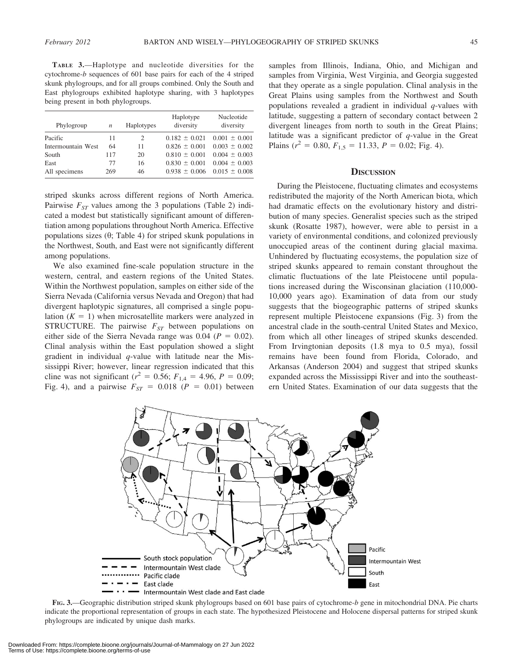TABLE 3.—Haplotype and nucleotide diversities for the cytochrome-b sequences of 601 base pairs for each of the 4 striped skunk phylogroups, and for all groups combined. Only the South and East phylogroups exhibited haplotype sharing, with 3 haplotypes being present in both phylogroups.

| Phylogroup         | Haplotypes<br>n |    | Haplotype<br>diversity | Nucleotide<br>diversity |  |
|--------------------|-----------------|----|------------------------|-------------------------|--|
| Pacific            | 11              | 2  | $0.182 \pm 0.021$      | $0.001 \pm 0.001$       |  |
| Intermountain West | 64              | 11 | $0.826 \pm 0.001$      | $0.003 \pm 0.002$       |  |
| South              | 117             | 20 | $0.810 \pm 0.001$      | $0.004 \pm 0.003$       |  |
| East               | 77              | 16 | $0.830 \pm 0.001$      | $0.004 \pm 0.003$       |  |
| All specimens      | 269             | 46 | $0.938 \pm 0.006$      | $0.015 \pm 0.008$       |  |
|                    |                 |    |                        |                         |  |

striped skunks across different regions of North America. Pairwise  $F_{ST}$  values among the 3 populations (Table 2) indicated a modest but statistically significant amount of differentiation among populations throughout North America. Effective populations sizes  $(\theta;$  Table 4) for striped skunk populations in the Northwest, South, and East were not significantly different among populations.

We also examined fine-scale population structure in the western, central, and eastern regions of the United States. Within the Northwest population, samples on either side of the Sierra Nevada (California versus Nevada and Oregon) that had divergent haplotypic signatures, all comprised a single population  $(K = 1)$  when microsatellite markers were analyzed in STRUCTURE. The pairwise  $F_{ST}$  between populations on either side of the Sierra Nevada range was 0.04 ( $P = 0.02$ ). Clinal analysis within the East population showed a slight gradient in individual  $q$ -value with latitude near the Mississippi River; however, linear regression indicated that this cline was not significant ( $r^2 = 0.56$ ;  $F_{1,4} = 4.96$ ,  $P = 0.09$ ; Fig. 4), and a pairwise  $F_{ST} = 0.018$  ( $P = 0.01$ ) between

samples from Illinois, Indiana, Ohio, and Michigan and samples from Virginia, West Virginia, and Georgia suggested that they operate as a single population. Clinal analysis in the Great Plains using samples from the Northwest and South populations revealed a gradient in individual  $q$ -values with latitude, suggesting a pattern of secondary contact between 2 divergent lineages from north to south in the Great Plains; latitude was a significant predictor of  $q$ -value in the Great Plains ( $r^2 = 0.80$ ,  $F_{1,5} = 11.33$ ,  $P = 0.02$ ; Fig. 4).

#### **DISCUSSION**

During the Pleistocene, fluctuating climates and ecosystems redistributed the majority of the North American biota, which had dramatic effects on the evolutionary history and distribution of many species. Generalist species such as the striped skunk (Rosatte 1987), however, were able to persist in a variety of environmental conditions, and colonized previously unoccupied areas of the continent during glacial maxima. Unhindered by fluctuating ecosystems, the population size of striped skunks appeared to remain constant throughout the climatic fluctuations of the late Pleistocene until populations increased during the Wisconsinan glaciation (110,000- 10,000 years ago). Examination of data from our study suggests that the biogeographic patterns of striped skunks represent multiple Pleistocene expansions (Fig. 3) from the ancestral clade in the south-central United States and Mexico, from which all other lineages of striped skunks descended. From Irvingtonian deposits (1.8 mya to 0.5 mya), fossil remains have been found from Florida, Colorado, and Arkansas (Anderson 2004) and suggest that striped skunks expanded across the Mississippi River and into the southeastern United States. Examination of our data suggests that the



FIG. 3.—Geographic distribution striped skunk phylogroups based on 601 base pairs of cytochrome-b gene in mitochondrial DNA. Pie charts indicate the proportional representation of groups in each state. The hypothesized Pleistocene and Holocene dispersal patterns for striped skunk phylogroups are indicated by unique dash marks.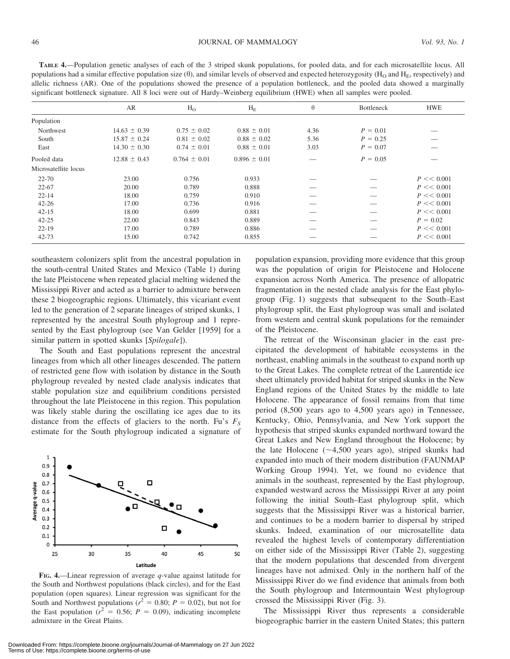TABLE 4.—Population genetic analyses of each of the 3 striped skunk populations, for pooled data, and for each microsatellite locus. All populations had a similar effective population size  $(\theta)$ , and similar levels of observed and expected heterozygosity ( $H_0$  and  $H_F$ , respectively) and allelic richness (AR). One of the populations showed the presence of a population bottleneck, and the pooled data showed a marginally significant bottleneck signature. All 8 loci were out of Hardy–Weinberg equilibrium (HWE) when all samples were pooled.

|                      | AR               | H <sub>O</sub>   | $H_{E}$          | $\theta$ | Bottleneck | <b>HWE</b>    |
|----------------------|------------------|------------------|------------------|----------|------------|---------------|
| Population           |                  |                  |                  |          |            |               |
| Northwest            | $14.63 \pm 0.39$ | $0.75 \pm 0.02$  | $0.88 \pm 0.01$  | 4.36     | $P = 0.01$ |               |
| South                | $15.87 \pm 0.24$ | $0.81 \pm 0.02$  | $0.88 \pm 0.02$  | 5.36     | $P = 0.25$ |               |
| East                 | $14.30 \pm 0.30$ | $0.74 \pm 0.01$  | $0.88 \pm 0.01$  | 3.03     | $P = 0.07$ |               |
| Pooled data          | $12.88 \pm 0.43$ | $0.764 \pm 0.01$ | $0.896 \pm 0.01$ |          | $P = 0.05$ |               |
| Microsatellite locus |                  |                  |                  |          |            |               |
| 22-70                | 23.00            | 0.756            | 0.933            |          |            | $P \ll 0.001$ |
| $22 - 67$            | 20.00            | 0.789            | 0.888            |          |            | $P \ll 0.001$ |
| $22 - 14$            | 18.00            | 0.759            | 0.910            |          |            | $P \ll 0.001$ |
| $42 - 26$            | 17.00            | 0.736            | 0.916            |          |            | $P \ll 0.001$ |
| $42 - 15$            | 18.00            | 0.699            | 0.881            |          |            | $P \ll 0.001$ |
| $42 - 25$            | 22.00            | 0.843            | 0.889            |          | __         | $P = 0.02$    |
| $22 - 19$            | 17.00            | 0.789            | 0.886            |          |            | $P \ll 0.001$ |
| $42 - 73$            | 15.00            | 0.742            | 0.855            |          |            | $P \ll 0.001$ |

southeastern colonizers split from the ancestral population in the south-central United States and Mexico (Table 1) during the late Pleistocene when repeated glacial melting widened the Mississippi River and acted as a barrier to admixture between these 2 biogeographic regions. Ultimately, this vicariant event led to the generation of 2 separate lineages of striped skunks, 1 represented by the ancestral South phylogroup and 1 represented by the East phylogroup (see Van Gelder [1959] for a similar pattern in spotted skunks [Spilogale]).

The South and East populations represent the ancestral lineages from which all other lineages descended. The pattern of restricted gene flow with isolation by distance in the South phylogroup revealed by nested clade analysis indicates that stable population size and equilibrium conditions persisted throughout the late Pleistocene in this region. This population was likely stable during the oscillating ice ages due to its distance from the effects of glaciers to the north. Fu's  $F<sub>S</sub>$ estimate for the South phylogroup indicated a signature of



FIG. 4.—Linear regression of average q-value against latitude for the South and Northwest populations (black circles), and for the East population (open squares). Linear regression was significant for the South and Northwest populations ( $r^2 = 0.80$ ;  $P = 0.02$ ), but not for the East population ( $r^2 = 0.56$ ;  $P = 0.09$ ), indicating incomplete admixture in the Great Plains.

population expansion, providing more evidence that this group was the population of origin for Pleistocene and Holocene expansion across North America. The presence of allopatric fragmentation in the nested clade analysis for the East phylogroup (Fig. 1) suggests that subsequent to the South–East phylogroup split, the East phylogroup was small and isolated from western and central skunk populations for the remainder of the Pleistocene.

The retreat of the Wisconsinan glacier in the east precipitated the development of habitable ecosystems in the northeast, enabling animals in the southeast to expand north up to the Great Lakes. The complete retreat of the Laurentide ice sheet ultimately provided habitat for striped skunks in the New England regions of the United States by the middle to late Holocene. The appearance of fossil remains from that time period (8,500 years ago to 4,500 years ago) in Tennessee, Kentucky, Ohio, Pennsylvania, and New York support the hypothesis that striped skunks expanded northward toward the Great Lakes and New England throughout the Holocene; by the late Holocene  $(\sim 4,500$  years ago), striped skunks had expanded into much of their modern distribution (FAUNMAP Working Group 1994). Yet, we found no evidence that animals in the southeast, represented by the East phylogroup, expanded westward across the Mississippi River at any point following the initial South–East phylogroup split, which suggests that the Mississippi River was a historical barrier, and continues to be a modern barrier to dispersal by striped skunks. Indeed, examination of our microsatellite data revealed the highest levels of contemporary differentiation on either side of the Mississippi River (Table 2), suggesting that the modern populations that descended from divergent lineages have not admixed. Only in the northern half of the Mississippi River do we find evidence that animals from both the South phylogroup and Intermountain West phylogroup crossed the Mississippi River (Fig. 3).

The Mississippi River thus represents a considerable biogeographic barrier in the eastern United States; this pattern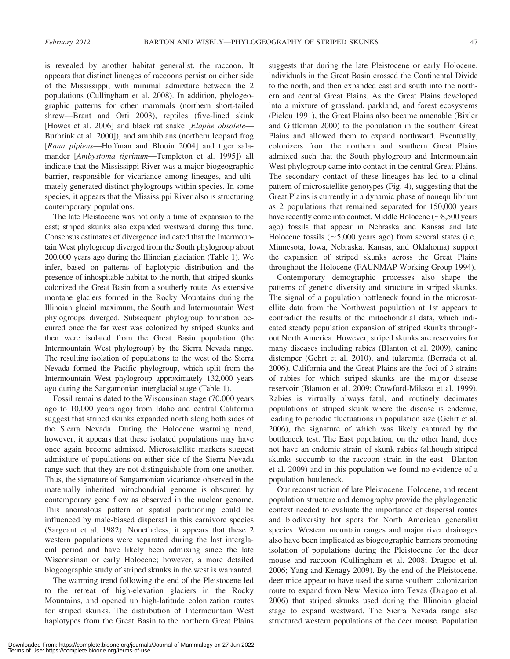is revealed by another habitat generalist, the raccoon. It appears that distinct lineages of raccoons persist on either side of the Mississippi, with minimal admixture between the 2 populations (Cullingham et al. 2008). In addition, phylogeographic patterns for other mammals (northern short-tailed shrew—Brant and Orti 2003), reptiles (five-lined skink [Howes et al. 2006] and black rat snake [Elaphe obsolete— Burbrink et al. 2000]), and amphibians (northern leopard frog [Rana pipiens—Hoffman and Blouin 2004] and tiger salamander [Ambystoma tigrinum—Templeton et al. 1995]) all indicate that the Mississippi River was a major biogeographic barrier, responsible for vicariance among lineages, and ultimately generated distinct phylogroups within species. In some species, it appears that the Mississippi River also is structuring contemporary populations.

The late Pleistocene was not only a time of expansion to the east; striped skunks also expanded westward during this time. Consensus estimates of divergence indicated that the Intermountain West phylogroup diverged from the South phylogroup about 200,000 years ago during the Illinoian glaciation (Table 1). We infer, based on patterns of haplotypic distribution and the presence of inhospitable habitat to the north, that striped skunks colonized the Great Basin from a southerly route. As extensive montane glaciers formed in the Rocky Mountains during the Illinoian glacial maximum, the South and Intermountain West phylogroups diverged. Subsequent phylogroup formation occurred once the far west was colonized by striped skunks and then were isolated from the Great Basin population (the Intermountain West phylogroup) by the Sierra Nevada range. The resulting isolation of populations to the west of the Sierra Nevada formed the Pacific phylogroup, which split from the Intermountain West phylogroup approximately 132,000 years ago during the Sangamonian interglacial stage (Table 1).

Fossil remains dated to the Wisconsinan stage (70,000 years ago to 10,000 years ago) from Idaho and central California suggest that striped skunks expanded north along both sides of the Sierra Nevada. During the Holocene warming trend, however, it appears that these isolated populations may have once again become admixed. Microsatellite markers suggest admixture of populations on either side of the Sierra Nevada range such that they are not distinguishable from one another. Thus, the signature of Sangamonian vicariance observed in the maternally inherited mitochondrial genome is obscured by contemporary gene flow as observed in the nuclear genome. This anomalous pattern of spatial partitioning could be influenced by male-biased dispersal in this carnivore species (Sargeant et al. 1982). Nonetheless, it appears that these 2 western populations were separated during the last interglacial period and have likely been admixing since the late Wisconsinan or early Holocene; however, a more detailed biogeographic study of striped skunks in the west is warranted.

The warming trend following the end of the Pleistocene led to the retreat of high-elevation glaciers in the Rocky Mountains, and opened up high-latitude colonization routes for striped skunks. The distribution of Intermountain West haplotypes from the Great Basin to the northern Great Plains suggests that during the late Pleistocene or early Holocene, individuals in the Great Basin crossed the Continental Divide to the north, and then expanded east and south into the northern and central Great Plains. As the Great Plains developed into a mixture of grassland, parkland, and forest ecosystems (Pielou 1991), the Great Plains also became amenable (Bixler and Gittleman 2000) to the population in the southern Great Plains and allowed them to expand northward. Eventually, colonizers from the northern and southern Great Plains admixed such that the South phylogroup and Intermountain West phylogroup came into contact in the central Great Plains. The secondary contact of these lineages has led to a clinal pattern of microsatellite genotypes (Fig. 4), suggesting that the Great Plains is currently in a dynamic phase of nonequilibrium as 2 populations that remained separated for 150,000 years have recently come into contact. Middle Holocene  $(\sim 8,500$  years ago) fossils that appear in Nebraska and Kansas and late Holocene fossils  $(\sim 5,000$  years ago) from several states (i.e., Minnesota, Iowa, Nebraska, Kansas, and Oklahoma) support the expansion of striped skunks across the Great Plains throughout the Holocene (FAUNMAP Working Group 1994).

Contemporary demographic processes also shape the patterns of genetic diversity and structure in striped skunks. The signal of a population bottleneck found in the microsatellite data from the Northwest population at 1st appears to contradict the results of the mitochondrial data, which indicated steady population expansion of striped skunks throughout North America. However, striped skunks are reservoirs for many diseases including rabies (Blanton et al. 2009), canine distemper (Gehrt et al. 2010), and tularemia (Berrada et al. 2006). California and the Great Plains are the foci of 3 strains of rabies for which striped skunks are the major disease reservoir (Blanton et al. 2009; Crawford-Miksza et al. 1999). Rabies is virtually always fatal, and routinely decimates populations of striped skunk where the disease is endemic, leading to periodic fluctuations in population size (Gehrt et al. 2006), the signature of which was likely captured by the bottleneck test. The East population, on the other hand, does not have an endemic strain of skunk rabies (although striped skunks succumb to the raccoon strain in the east—Blanton et al. 2009) and in this population we found no evidence of a population bottleneck.

Our reconstruction of late Pleistocene, Holocene, and recent population structure and demography provide the phylogenetic context needed to evaluate the importance of dispersal routes and biodiversity hot spots for North American generalist species. Western mountain ranges and major river drainages also have been implicated as biogeographic barriers promoting isolation of populations during the Pleistocene for the deer mouse and raccoon (Cullingham et al. 2008; Dragoo et al. 2006; Yang and Kenagy 2009). By the end of the Pleistocene, deer mice appear to have used the same southern colonization route to expand from New Mexico into Texas (Dragoo et al. 2006) that striped skunks used during the Illinoian glacial stage to expand westward. The Sierra Nevada range also structured western populations of the deer mouse. Population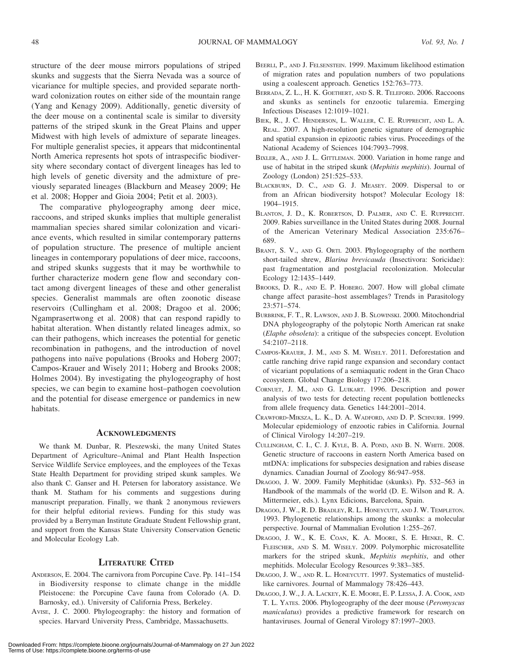structure of the deer mouse mirrors populations of striped skunks and suggests that the Sierra Nevada was a source of vicariance for multiple species, and provided separate northward colonization routes on either side of the mountain range (Yang and Kenagy 2009). Additionally, genetic diversity of the deer mouse on a continental scale is similar to diversity patterns of the striped skunk in the Great Plains and upper Midwest with high levels of admixture of separate lineages. For multiple generalist species, it appears that midcontinental North America represents hot spots of intraspecific biodiversity where secondary contact of divergent lineages has led to high levels of genetic diversity and the admixture of previously separated lineages (Blackburn and Measey 2009; He et al. 2008; Hopper and Gioia 2004; Petit et al. 2003).

The comparative phylogeography among deer mice, raccoons, and striped skunks implies that multiple generalist mammalian species shared similar colonization and vicariance events, which resulted in similar contemporary patterns of population structure. The presence of multiple ancient lineages in contemporary populations of deer mice, raccoons, and striped skunks suggests that it may be worthwhile to further characterize modern gene flow and secondary contact among divergent lineages of these and other generalist species. Generalist mammals are often zoonotic disease reservoirs (Cullingham et al. 2008; Dragoo et al. 2006; Ngamprasertwong et al. 2008) that can respond rapidly to habitat alteration. When distantly related lineages admix, so can their pathogens, which increases the potential for genetic recombination in pathogens, and the introduction of novel pathogens into naïve populations (Brooks and Hoberg 2007; Campos-Krauer and Wisely 2011; Hoberg and Brooks 2008; Holmes 2004). By investigating the phylogeography of host species, we can begin to examine host–pathogen coevolution and the potential for disease emergence or pandemics in new habitats.

#### **ACKNOWLEDGMENTS**

We thank M. Dunbar, R. Pleszewski, the many United States Department of Agriculture–Animal and Plant Health Inspection Service Wildlife Service employees, and the employees of the Texas State Health Department for providing striped skunk samples. We also thank C. Ganser and H. Petersen for laboratory assistance. We thank M. Statham for his comments and suggestions during manuscript preparation. Finally, we thank 2 anonymous reviewers for their helpful editorial reviews. Funding for this study was provided by a Berryman Institute Graduate Student Fellowship grant, and support from the Kansas State University Conservation Genetic and Molecular Ecology Lab.

#### LITERATURE CITED

- ANDERSON, E. 2004. The carnivora from Porcupine Cave. Pp. 141–154 in Biodiversity response to climate change in the middle Pleistocene: the Porcupine Cave fauna from Colorado (A. D. Barnosky, ed.). University of California Press, Berkeley.
- AVISE, J. C. 2000. Phylogeography: the history and formation of species. Harvard University Press, Cambridge, Massachusetts.
- BEERLI, P., AND J. FELSENSTEIN. 1999. Maximum likelihood estimation of migration rates and population numbers of two populations using a coalescent approach. Genetics 152:763–773.
- BERRADA, Z. L., H. K. GOETHERT, AND S. R. TELEFORD. 2006. Raccoons and skunks as sentinels for enzootic tularemia. Emerging Infectious Diseases 12:1019–1021.
- BIEK, R., J. C. HENDERSON, L. WALLER, C. E. RUPPRECHT, AND L. A. REAL. 2007. A high-resolution genetic signature of demographic and spatial expansion in epizootic rabies virus. Proceedings of the National Academy of Sciences 104:7993–7998.
- BIXLER, A., AND J. L. GITTLEMAN. 2000. Variation in home range and use of habitat in the striped skunk (Mephitis mephitis). Journal of Zoology (London) 251:525–533.
- BLACKBURN, D. C., AND G. J. MEASEY. 2009. Dispersal to or from an African biodiversity hotspot? Molecular Ecology 18: 1904–1915.
- BLANTON, J. D., K. ROBERTSON, D. PALMER, AND C. E. RUPPRECHT. 2009. Rabies surveillance in the United States during 2008. Journal of the American Veterinary Medical Association 235:676– 689.
- BRANT, S. V., AND G. ORTI. 2003. Phylogeography of the northern short-tailed shrew, Blarina brevicauda (Insectivora: Soricidae): past fragmentation and postglacial recolonization. Molecular Ecology 12:1435–1449.
- BROOKS, D. R., AND E. P. HOBERG. 2007. How will global climate change affect parasite–host assemblages? Trends in Parasitology 23:571–574.
- BURBRINK, F. T., R. LAWSON, AND J. B. SLOWINSKI. 2000. Mitochondrial DNA phylogeography of the polytopic North American rat snake (Elaphe obsoleta): a critique of the subspecies concept. Evolution 54:2107–2118.
- CAMPOS-KRAUER, J. M., AND S. M. WISELY. 2011. Deforestation and cattle ranching drive rapid range expansion and secondary contact of vicariant populations of a semiaquatic rodent in the Gran Chaco ecosystem. Global Change Biology 17:206–218.
- CORNUET, J. M., AND G. LUIKART. 1996. Description and power analysis of two tests for detecting recent population bottlenecks from allele frequency data. Genetics 144:2001–2014.
- CRAWFORD-MIKSZA, L. K., D. A. WADFORD, AND D. P. SCHNURR. 1999. Molecular epidemiology of enzootic rabies in California. Journal of Clinical Virology 14:207–219.
- CULLINGHAM, C. I., C. J. KYLE, B. A. POND, AND B. N. WHITE. 2008. Genetic structure of raccoons in eastern North America based on mtDNA: implications for subspecies designation and rabies disease dynamics. Canadian Journal of Zoology 86:947–958.
- DRAGOO, J. W. 2009. Family Mephitidae (skunks). Pp. 532–563 in Handbook of the mammals of the world (D. E. Wilson and R. A. Mittermeier, eds.). Lynx Edicions, Barcelona, Spain.
- DRAGOO, J. W., R. D. BRADLEY, R. L. HONEYCUTT, AND J. W. TEMPLETON. 1993. Phylogenetic relationships among the skunks: a molecular perspective. Journal of Mammalian Evolution 1:255–267.
- DRAGOO, J. W., K. E. COAN, K. A. MOORE, S. E. HENKE, R. C. FLEISCHER, AND S. M. WISELY. 2009. Polymorphic microsatellite markers for the striped skunk, Mephitis mephitis, and other mephitids. Molecular Ecology Resources 9:383–385.
- DRAGOO, J. W., AND R. L. HONEYCUTT. 1997. Systematics of mustelidlike carnivores. Journal of Mammalogy 78:426–443.
- DRAGOO, J. W., J. A. LACKEY, K. E. MOORE, E. P. LESSA, J. A. COOK, AND T. L. YATES. 2006. Phylogeography of the deer mouse (Peromyscus maniculatus) provides a predictive framework for research on hantaviruses. Journal of General Virology 87:1997–2003.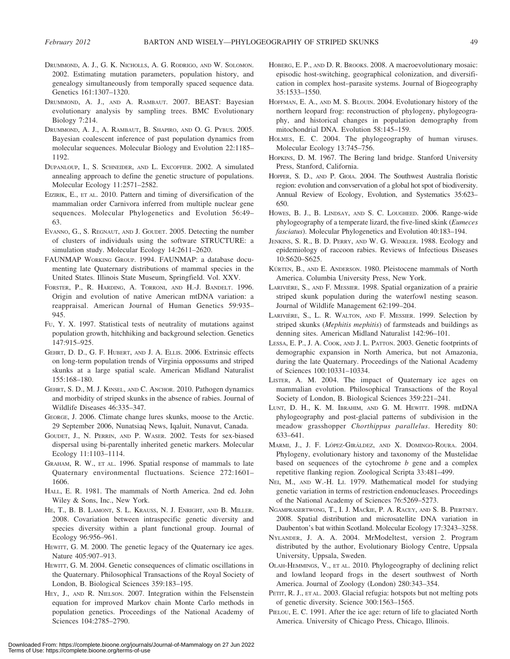- DRUMMOND, A. J., G. K. NICHOLLS, A. G. RODRIGO, AND W. SOLOMON. 2002. Estimating mutation parameters, population history, and genealogy simultaneously from temporally spaced sequence data. Genetics 161:1307–1320.
- DRUMMOND, A. J., AND A. RAMBAUT. 2007. BEAST: Bayesian evolutionary analysis by sampling trees. BMC Evolutionary Biology 7:214.
- DRUMMOND, A. J., A. RAMBAUT, B. SHAPIRO, AND O. G. PYBUS. 2005. Bayesian coalescent inference of past population dynamics from molecular sequences. Molecular Biology and Evolution 22:1185– 1192.
- DUPANLOUP, I., S. SCHNEIDER, AND L. EXCOFFIER. 2002. A simulated annealing approach to define the genetic structure of populations. Molecular Ecology 11:2571–2582.
- EIZIRIK, E., ET AL. 2010. Pattern and timing of diversification of the mammalian order Carnivora inferred from multiple nuclear gene sequences. Molecular Phylogenetics and Evolution 56:49– 63.
- EVANNO, G., S. REGNAUT, AND J. GOUDET. 2005. Detecting the number of clusters of individuals using the software STRUCTURE: a simulation study. Molecular Ecology 14:2611–2620.
- FAUNMAP WORKING GROUP. 1994. FAUNMAP: a database documenting late Quaternary distributions of mammal species in the United States. Illinois State Museum, Springfield. Vol. XXV.
- FORSTER, P., R. HARDING, A. TORRONI, AND H.-J. BANDELT. 1996. Origin and evolution of native American mtDNA variation: a reappraisal. American Journal of Human Genetics 59:935– 945.
- FU, Y. X. 1997. Statistical tests of neutrality of mutations against population growth, hitchhiking and background selection. Genetics 147:915–925.
- GEHRT, D. D., G. F. HUBERT, AND J. A. ELLIS. 2006. Extrinsic effects on long-term population trends of Virginia oppossums and striped skunks at a large spatial scale. American Midland Naturalist 155:168–180.
- GEHRT, S. D., M. J. KINSEL, AND C. ANCHOR. 2010. Pathogen dynamics and morbidity of striped skunks in the absence of rabies. Journal of Wildlife Diseases 46:335–347.
- GEORGE, J. 2006. Climate change lures skunks, moose to the Arctic. 29 September 2006, Nunatsiaq News, Iqaluit, Nunavut, Canada.
- GOUDET, J., N. PERRIN, AND P. WASER. 2002. Tests for sex-biased dispersal using bi-parentally inherited genetic markers. Molecular Ecology 11:1103–1114.
- GRAHAM, R. W., ET AL. 1996. Spatial response of mammals to late Quaternary environmental fluctuations. Science 272:1601– 1606.
- HALL, E. R. 1981. The mammals of North America. 2nd ed. John Wiley & Sons, Inc., New York.
- HE, T., B. B. LAMONT, S. L. KRAUSS, N. J. ENRIGHT, AND B. MILLER. 2008. Covariation between intraspecific genetic diversity and species diversity within a plant functional group. Journal of Ecology 96:956–961.
- HEWITT, G. M. 2000. The genetic legacy of the Quaternary ice ages. Nature 405:907–913.
- HEWITT, G. M. 2004. Genetic consequences of climatic oscillations in the Quaternary. Philosophical Transactions of the Royal Society of London, B. Biological Sciences 359:183–195.
- HEY, J., AND R. NIELSON. 2007. Integration within the Felsenstein equation for improved Markov chain Monte Carlo methods in population genetics. Proceedings of the National Academy of Sciences 104:2785–2790.
- HOBERG, E. P., AND D. R. BROOKS. 2008. A macroevolutionary mosaic: episodic host-switching, geographical colonization, and diversification in complex host–parasite systems. Journal of Biogeography 35:1533–1550.
- HOFFMAN, E. A., AND M. S. BLOUIN. 2004. Evolutionary history of the northern leopard frog: reconstruction of phylogeny, phylogeography, and historical changes in population demography from mitochondrial DNA. Evolution 58:145–159.
- HOLMES, E. C. 2004. The phylogeography of human viruses. Molecular Ecology 13:745–756.
- HOPKINS, D. M. 1967. The Bering land bridge. Stanford University Press, Stanford, California.
- HOPPER, S. D., AND P. GIOIA. 2004. The Southwest Australia floristic region: evolution and convservation of a global hot spot of biodiversity. Annual Review of Ecology, Evolution, and Systematics 35:623– 650.
- HOWES, B. J., B. LINDSAY, AND S. C. LOUGHEED. 2006. Range-wide phylogeography of a temperate lizard, the five-lined skink (Eumeces fasciatus). Molecular Phylogenetics and Evolution 40:183–194.
- JENKINS, S. R., B. D. PERRY, AND W. G. WINKLER. 1988. Ecology and epidemiology of raccoon rabies. Reviews of Infectious Diseases 10:S620–S625.
- KÚRTEN, B., AND E. ANDERSON. 1980. Pleistocene mammals of North America. Columbia University Press, New York.
- LARIVIÈRE, S., AND F. MESSIER. 1998. Spatial organization of a prairie striped skunk population during the waterfowl nesting season. Journal of Wildlife Management 62:199–204.
- LARIVIÈRE, S., L. R. WALTON, AND F. MESSIER. 1999. Selection by striped skunks (Mephitis mephitis) of farmsteads and buildings as denning sites. American Midland Naturalist 142:96–101.
- LESSA, E. P., J. A. COOK, AND J. L. PATTON. 2003. Genetic footprints of demographic expansion in North America, but not Amazonia, during the late Quaternary. Proceedings of the National Academy of Sciences 100:10331–10334.
- LISTER, A. M. 2004. The impact of Quaternary ice ages on mammalian evolution. Philosophical Transactions of the Royal Society of London, B. Biological Sciences 359:221–241.
- LUNT, D. H., K. M. IBRAHIM, AND G. M. HEWITT. 1998. mtDNA phylogeography and post-glacial patterns of subdivision in the meadow grasshopper Chorthippus parallelus. Heredity 80: 633–641.
- MARMI, J., J. F. LÓPEZ-GIRÁLDEZ, AND X. DOMINGO-ROURA. 2004. Phylogeny, evolutionary history and taxonomy of the Mustelidae based on sequences of the cytochrome  $b$  gene and a complex repetitive flanking region. Zoological Scripta 33:481–499.
- NEI, M., AND W.-H. LI. 1979. Mathematical model for studying genetic variation in terms of restriction endonucleases. Proceedings of the National Academy of Sciences 76:5269–5273.
- NGAMPRASERTWONG, T., I. J. MACkIE, P. A. RACEY, AND S. B. PIERTNEY. 2008. Spatial distribution and microsatellite DNA variation in Daubenton's bat within Scotland. Molecular Ecology 17:3243–3258.
- NYLANDER, J. A. A. 2004. MrModeltest, version 2. Program distributed by the author, Evolutionary Biology Centre, Uppsala University, Uppsala, Sweden.
- OLAH-HEMMINGS, V., ET AL. 2010. Phylogeography of declining relict and lowland leopard frogs in the desert southwest of North America. Journal of Zoology (London) 280:343–354.
- PETIT, R. J., ET AL. 2003. Glacial refugia: hotspots but not melting pots of genetic diversity. Science 300:1563–1565.
- PIELOU, E. C. 1991. After the ice age: return of life to glaciated North America. University of Chicago Press, Chicago, Illinois.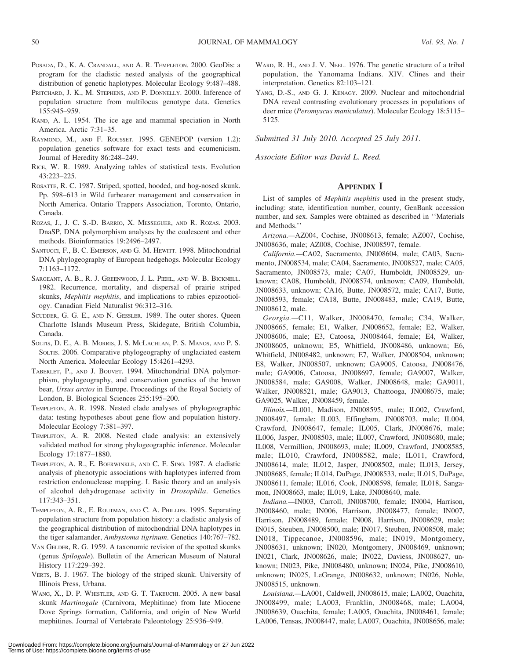- POSADA, D., K. A. CRANDALL, AND A. R. TEMPLETON. 2000. GeoDis: a program for the cladistic nested analysis of the geographical distribution of genetic haplotypes. Molecular Ecology 9:487–488.
- PRITCHARD, J. K., M. STEPHENS, AND P. DONNELLY. 2000. Inference of population structure from multilocus genotype data. Genetics 155:945–959.
- RAND, A. L. 1954. The ice age and mammal speciation in North America. Arctic 7:31–35.
- RAYMOND, M., AND F. ROUSSET. 1995. GENEPOP (version 1.2): population genetics software for exact tests and ecumenicism. Journal of Heredity 86:248–249.
- RICE, W. R. 1989. Analyzing tables of statistical tests. Evolution 43:223–225.
- ROSATTE, R. C. 1987. Striped, spotted, hooded, and hog-nosed skunk. Pp. 598–613 in Wild furbearer management and conservation in North America. Ontario Trappers Association, Toronto, Ontario, Canada.
- ROZAS, J., J. C. S.-D. BARRIO, X. MESSEGUER, AND R. ROZAS. 2003. DnaSP, DNA polymorphism analyses by the coalescent and other methods. Bioinformatics 19:2496–2497.
- SANTUCCI, F., B. C. EMERSON, AND G. M. HEWITT. 1998. Mitochondrial DNA phylogeography of European hedgehogs. Molecular Ecology 7:1163–1172.
- SARGEANT, A. B., R. J. GREENWOOD, J. L. PIEHL, AND W. B. BICKNELL. 1982. Recurrence, mortality, and dispersal of prairie striped skunks, Mephitis mephitis, and implications to rabies epizootiology. Canadian Field Naturalist 96:312–316.
- SCUDDER, G. G. E., AND N. GESSLER. 1989. The outer shores. Queen Charlotte Islands Museum Press, Skidegate, British Columbia, Canada.
- SOLTIS, D. E., A. B. MORRIS, J. S. MCLACHLAN, P. S. MANOS, AND P. S. SOLTIS. 2006. Comparative phylogeography of unglaciated eastern North America. Molecular Ecology 15:4261–4293.
- TABERLET, P., AND J. BOUVET. 1994. Mitochondrial DNA polymorphism, phylogeography, and conservation genetics of the brown bear, Ursus arctos in Europe. Proceedings of the Royal Society of London, B. Biological Sciences 255:195–200.
- TEMPLETON, A. R. 1998. Nested clade analyses of phylogeographic data: testing hypotheses about gene flow and population history. Molecular Ecology 7:381–397.
- TEMPLETON, A. R. 2008. Nested clade analysis: an extensively validated method for strong phylogeographic inference. Molecular Ecology 17:1877–1880.
- TEMPLETON, A. R., E. BOERWINKLE, AND C. F. SING. 1987. A cladistic analysis of phenotypic associations with haplotypes inferred from restriction endonuclease mapping. I. Basic theory and an analysis of alcohol dehydrogenase activity in Drosophila. Genetics 117:343–351.
- TEMPLETON, A. R., E. ROUTMAN, AND C. A. PHILLIPS. 1995. Separating population structure from population history: a cladistic analysis of the geographical distribution of mitochondrial DNA haplotypes in the tiger salamander, Ambystoma tigrinum. Genetics 140:767–782.
- VAN GELDER, R. G. 1959. A taxonomic revision of the spotted skunks (genus Spilogale). Bulletin of the American Museum of Natural History 117:229–392.
- VERTS, B. J. 1967. The biology of the striped skunk. University of Illinois Press, Urbana.
- WANG, X., D. P. WHISTLER, AND G. T. TAKEUCHI. 2005. A new basal skunk Martinogale (Carnivora, Mephitinae) from late Miocene Dove Springs formation, California, and origin of New World mephitines. Journal of Vertebrate Paleontology 25:936–949.
- WARD, R. H., AND J. V. NEEL. 1976. The genetic structure of a tribal population, the Yanomama Indians. XIV. Clines and their interpretation. Genetics 82:103–121.
- YANG, D.-S., AND G. J. KENAGY. 2009. Nuclear and mitochondrial DNA reveal contrasting evolutionary processes in populations of deer mice (Peromyscus maniculatus). Molecular Ecology 18:5115-5125.

Submitted 31 July 2010. Accepted 25 July 2011.

Associate Editor was David L. Reed.

#### **APPENDIX I**

List of samples of Mephitis mephitis used in the present study, including: state, identification number, county, GenBank accession number, and sex. Samples were obtained as described in ''Materials and Methods.''

Arizona.—AZ004, Cochise, JN008613, female; AZ007, Cochise, JN008636, male; AZ008, Cochise, JN008597, female.

California.—CA02, Sacramento, JN008604, male; CA03, Sacramento, JN008534, male; CA04, Sacramento, JN008527, male; CA05, Sacramento, JN008573, male; CA07, Humboldt, JN008529, unknown; CA08, Humboldt, JN008574, unknown; CA09, Humboldt, JN008633, unknown; CA16, Butte, JN008572, male; CA17, Butte, JN008593, female; CA18, Butte, JN008483, male; CA19, Butte, JN008612, male.

Georgia.—C11, Walker, JN008470, female; C34, Walker, JN008665, female; E1, Walker, JN008652, female; E2, Walker, JN008606, male; E3, Catoosa, JN008464, female; E4, Walker, JN008605, unknown; E5, Whitfield, JN008486, unknown; E6, Whitfield, JN008482, unknown; E7, Walker, JN008504, unknown; E8, Walker, JN008507, unknown; GA9005, Catoosa, JN008476, male; GA9006, Catoosa, JN008697, female; GA9007, Walker, JN008584, male; GA9008, Walker, JN008648, male; GA9011, Walker, JN008521, male; GA9013, Chattooga, JN008675, male; GA9025, Walker, JN008459, female.

Illinois.—IL001, Madison, JN008595, male; IL002, Crawford, JN008497, female; IL003, Effingham, JN008703, male; IL004, Crawford, JN008647, female; IL005, Clark, JN008676, male; IL006, Jasper, JN008503, male; IL007, Crawford, JN008680, male; IL008, Vermillion, JN008693, male; IL009, Crawford, JN008585, male; IL010, Crawford, JN008582, male; IL011, Crawford, JN008614, male; IL012, Jasper, JN008502, male; IL013, Jersey, JN008685, female; IL014, DuPage, JN008533, male; IL015, DuPage, JN008611, female; IL016, Cook, JN008598, female; IL018, Sangamon, JN008663, male; IL019, Lake, JN008640, male.

Indiana.—IN003, Carroll, JN008700, female; IN004, Harrison, JN008460, male; IN006, Harrison, JN008477, female; IN007, Harrison, JN008489, female; IN008, Harrison, JN008629, male; IN015, Steuben, JN008500, male; IN017, Steuben, JN008508, male; IN018, Tippecanoe, JN008596, male; IN019, Montgomery, JN008631, unknown; IN020, Montgomery, JN008469, unknown; IN021, Clark, JN008626, male; IN022, Daviess, JN008627, unknown; IN023, Pike, JN008480, unknown; IN024, Pike, JN008610, unknown; IN025, LeGrange, JN008632, unknown; IN026, Noble, JN008515, unknown.

Louisiana.—LA001, Caldwell, JN008615, male; LA002, Ouachita, JN008499, male; LA003, Franklin, JN008468, male; LA004, JN008639, Ouachita, female; LA005, Ouachita, JN008461, female; LA006, Tensas, JN008447, male; LA007, Ouachita, JN008656, male;